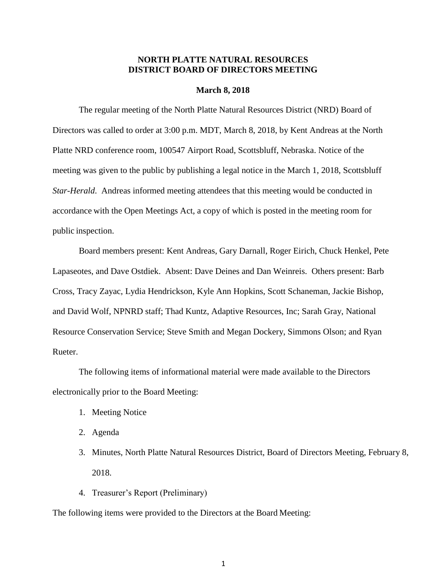## **NORTH PLATTE NATURAL RESOURCES DISTRICT BOARD OF DIRECTORS MEETING**

#### **March 8, 2018**

The regular meeting of the North Platte Natural Resources District (NRD) Board of Directors was called to order at 3:00 p.m. MDT, March 8, 2018, by Kent Andreas at the North Platte NRD conference room, 100547 Airport Road, Scottsbluff, Nebraska. Notice of the meeting was given to the public by publishing a legal notice in the March 1, 2018, Scottsbluff *Star-Herald*. Andreas informed meeting attendees that this meeting would be conducted in accordance with the Open Meetings Act, a copy of which is posted in the meeting room for public inspection.

Board members present: Kent Andreas, Gary Darnall, Roger Eirich, Chuck Henkel, Pete Lapaseotes, and Dave Ostdiek. Absent: Dave Deines and Dan Weinreis. Others present: Barb Cross, Tracy Zayac, Lydia Hendrickson, Kyle Ann Hopkins, Scott Schaneman, Jackie Bishop, and David Wolf, NPNRD staff; Thad Kuntz, Adaptive Resources, Inc; Sarah Gray, National Resource Conservation Service; Steve Smith and Megan Dockery, Simmons Olson; and Ryan Rueter.

The following items of informational material were made available to the Directors electronically prior to the Board Meeting:

- 1. Meeting Notice
- 2. Agenda
- 3. Minutes, North Platte Natural Resources District, Board of Directors Meeting, February 8, 2018.
- 4. Treasurer's Report (Preliminary)

The following items were provided to the Directors at the Board Meeting: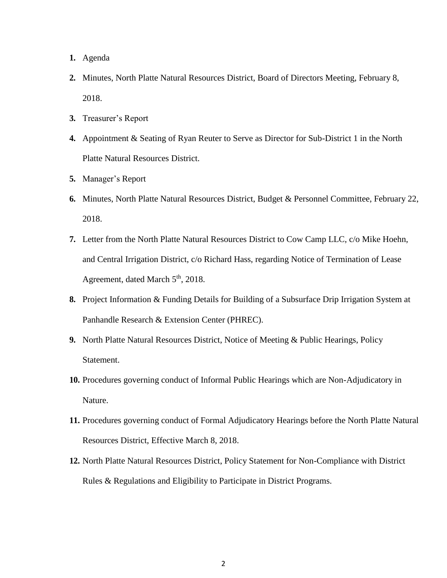- **1.** Agenda
- **2.** Minutes, North Platte Natural Resources District, Board of Directors Meeting, February 8, 2018.
- **3.** Treasurer's Report
- **4.** Appointment & Seating of Ryan Reuter to Serve as Director for Sub-District 1 in the North Platte Natural Resources District.
- **5.** Manager's Report
- **6.** Minutes, North Platte Natural Resources District, Budget & Personnel Committee, February 22, 2018.
- **7.** Letter from the North Platte Natural Resources District to Cow Camp LLC, c/o Mike Hoehn, and Central Irrigation District, c/o Richard Hass, regarding Notice of Termination of Lease Agreement, dated March  $5<sup>th</sup>$ , 2018.
- **8.** Project Information & Funding Details for Building of a Subsurface Drip Irrigation System at Panhandle Research & Extension Center (PHREC).
- **9.** North Platte Natural Resources District, Notice of Meeting & Public Hearings, Policy Statement.
- **10.** Procedures governing conduct of Informal Public Hearings which are Non-Adjudicatory in Nature.
- **11.** Procedures governing conduct of Formal Adjudicatory Hearings before the North Platte Natural Resources District, Effective March 8, 2018.
- **12.** North Platte Natural Resources District, Policy Statement for Non-Compliance with District Rules & Regulations and Eligibility to Participate in District Programs.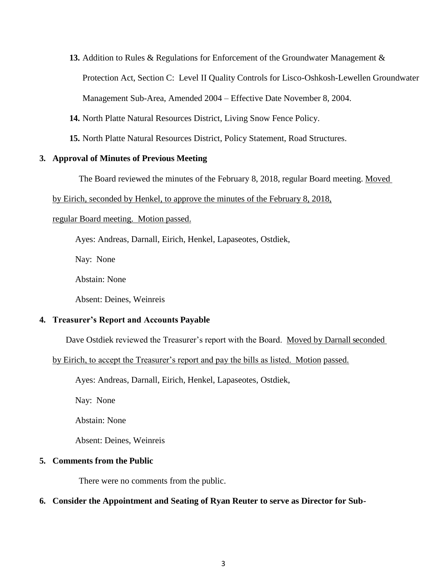**13.** Addition to Rules & Regulations for Enforcement of the Groundwater Management &

Protection Act, Section C: Level II Quality Controls for Lisco-Oshkosh-Lewellen Groundwater

Management Sub-Area, Amended 2004 – Effective Date November 8, 2004.

- **14.** North Platte Natural Resources District, Living Snow Fence Policy.
- **15.** North Platte Natural Resources District, Policy Statement, Road Structures.

## **3. Approval of Minutes of Previous Meeting**

The Board reviewed the minutes of the February 8, 2018, regular Board meeting. Moved

### by Eirich, seconded by Henkel, to approve the minutes of the February 8, 2018,

### regular Board meeting. Motion passed.

Ayes: Andreas, Darnall, Eirich, Henkel, Lapaseotes, Ostdiek,

Nay: None

Abstain: None

Absent: Deines, Weinreis

# **4. Treasurer's Report and Accounts Payable**

Dave Ostdiek reviewed the Treasurer's report with the Board. Moved by Darnall seconded

# by Eirich, to accept the Treasurer's report and pay the bills as listed. Motion passed.

Ayes: Andreas, Darnall, Eirich, Henkel, Lapaseotes, Ostdiek,

Nay: None

Abstain: None

Absent: Deines, Weinreis

# **5. Comments from the Public**

There were no comments from the public.

# **6. Consider the Appointment and Seating of Ryan Reuter to serve as Director for Sub-**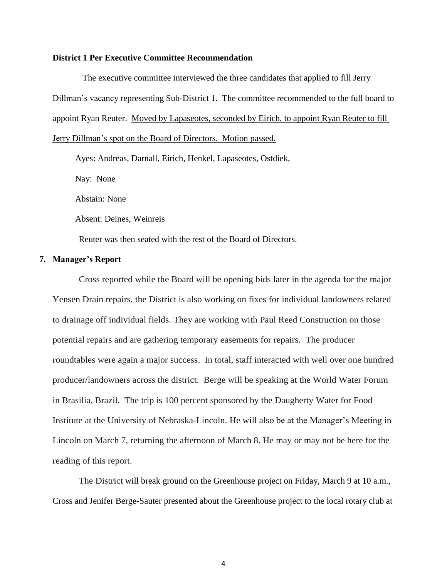#### **District 1 Per Executive Committee Recommendation**

The executive committee interviewed the three candidates that applied to fill Jerry Dillman's vacancy representing Sub-District 1. The committee recommended to the full board to appoint Ryan Reuter. Moved by Lapaseotes, seconded by Eirich, to appoint Ryan Reuter to fill Jerry Dillman's spot on the Board of Directors. Motion passed.

Ayes: Andreas, Darnall, Eirich, Henkel, Lapaseotes, Ostdiek, Nay: None Abstain: None

Absent: Deines, Weinreis

Reuter was then seated with the rest of the Board of Directors.

### **7. Manager's Report**

Cross reported while the Board will be opening bids later in the agenda for the major Yensen Drain repairs, the District is also working on fixes for individual landowners related to drainage off individual fields. They are working with Paul Reed Construction on those potential repairs and are gathering temporary easements for repairs. The producer roundtables were again a major success. In total, staff interacted with well over one hundred producer/landowners across the district. Berge will be speaking at the World Water Forum in Brasilia, Brazil. The trip is 100 percent sponsored by the Daugherty Water for Food Institute at the University of Nebraska-Lincoln. He will also be at the Manager's Meeting in Lincoln on March 7, returning the afternoon of March 8. He may or may not be here for the reading of this report.

The District will break ground on the Greenhouse project on Friday, March 9 at 10 a.m., Cross and Jenifer Berge-Sauter presented about the Greenhouse project to the local rotary club at

4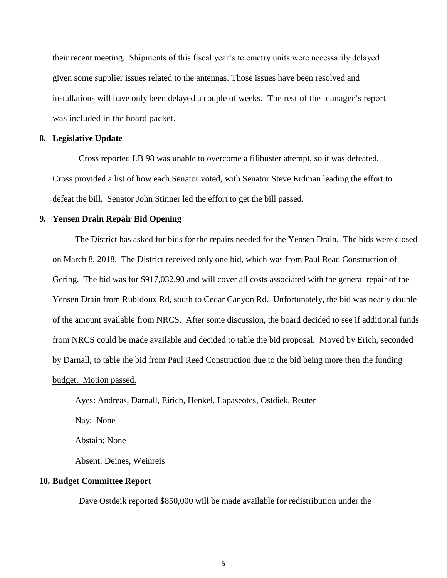their recent meeting. Shipments of this fiscal year's telemetry units were necessarily delayed given some supplier issues related to the antennas. Those issues have been resolved and installations will have only been delayed a couple of weeks. The rest of the manager's report was included in the board packet.

#### **8. Legislative Update**

Cross reported LB 98 was unable to overcome a filibuster attempt, so it was defeated. Cross provided a list of how each Senator voted, with Senator Steve Erdman leading the effort to defeat the bill. Senator John Stinner led the effort to get the bill passed.

## **9. Yensen Drain Repair Bid Opening**

The District has asked for bids for the repairs needed for the Yensen Drain. The bids were closed on March 8, 2018. The District received only one bid, which was from Paul Read Construction of Gering. The bid was for \$917,032.90 and will cover all costs associated with the general repair of the Yensen Drain from Rubidoux Rd, south to Cedar Canyon Rd. Unfortunately, the bid was nearly double of the amount available from NRCS. After some discussion, the board decided to see if additional funds from NRCS could be made available and decided to table the bid proposal. Moved by Erich, seconded by Darnall, to table the bid from Paul Reed Construction due to the bid being more then the funding budget. Motion passed.

Ayes: Andreas, Darnall, Eirich, Henkel, Lapaseotes, Ostdiek, Reuter

Nay: None

Abstain: None

Absent: Deines, Weinreis

#### **10. Budget Committee Report**

Dave Ostdeik reported \$850,000 will be made available for redistribution under the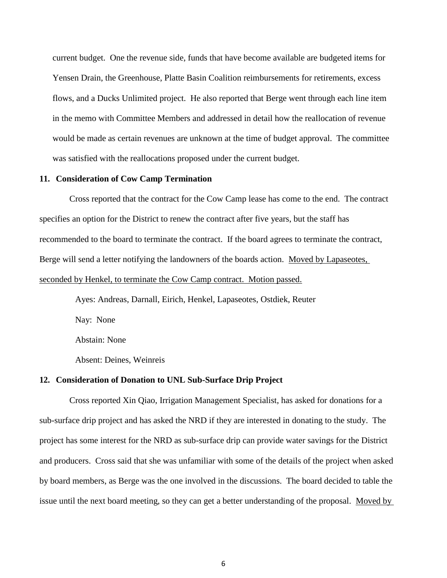current budget. One the revenue side, funds that have become available are budgeted items for Yensen Drain, the Greenhouse, Platte Basin Coalition reimbursements for retirements, excess flows, and a Ducks Unlimited project. He also reported that Berge went through each line item in the memo with Committee Members and addressed in detail how the reallocation of revenue would be made as certain revenues are unknown at the time of budget approval. The committee was satisfied with the reallocations proposed under the current budget.

#### **11. Consideration of Cow Camp Termination**

Cross reported that the contract for the Cow Camp lease has come to the end. The contract specifies an option for the District to renew the contract after five years, but the staff has recommended to the board to terminate the contract. If the board agrees to terminate the contract, Berge will send a letter notifying the landowners of the boards action. Moved by Lapaseotes, seconded by Henkel, to terminate the Cow Camp contract. Motion passed.

> Ayes: Andreas, Darnall, Eirich, Henkel, Lapaseotes, Ostdiek, Reuter Nay: None Abstain: None Absent: Deines, Weinreis

#### **12. Consideration of Donation to UNL Sub-Surface Drip Project**

Cross reported Xin Qiao, Irrigation Management Specialist, has asked for donations for a sub-surface drip project and has asked the NRD if they are interested in donating to the study. The project has some interest for the NRD as sub-surface drip can provide water savings for the District and producers. Cross said that she was unfamiliar with some of the details of the project when asked by board members, as Berge was the one involved in the discussions. The board decided to table the issue until the next board meeting, so they can get a better understanding of the proposal. Moved by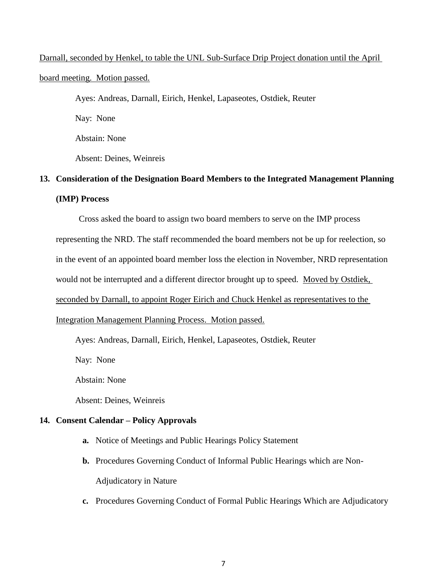# Darnall, seconded by Henkel, to table the UNL Sub-Surface Drip Project donation until the April board meeting. Motion passed.

Ayes: Andreas, Darnall, Eirich, Henkel, Lapaseotes, Ostdiek, Reuter

Nay: None

Abstain: None

Absent: Deines, Weinreis

# **13. Consideration of the Designation Board Members to the Integrated Management Planning (IMP) Process**

Cross asked the board to assign two board members to serve on the IMP process representing the NRD. The staff recommended the board members not be up for reelection, so in the event of an appointed board member loss the election in November, NRD representation would not be interrupted and a different director brought up to speed. Moved by Ostdiek, seconded by Darnall, to appoint Roger Eirich and Chuck Henkel as representatives to the Integration Management Planning Process. Motion passed.

Ayes: Andreas, Darnall, Eirich, Henkel, Lapaseotes, Ostdiek, Reuter

Nay: None

Abstain: None

Absent: Deines, Weinreis

# **14. Consent Calendar – Policy Approvals**

- **a.** Notice of Meetings and Public Hearings Policy Statement
- **b.** Procedures Governing Conduct of Informal Public Hearings which are Non-Adjudicatory in Nature
- **c.** Procedures Governing Conduct of Formal Public Hearings Which are Adjudicatory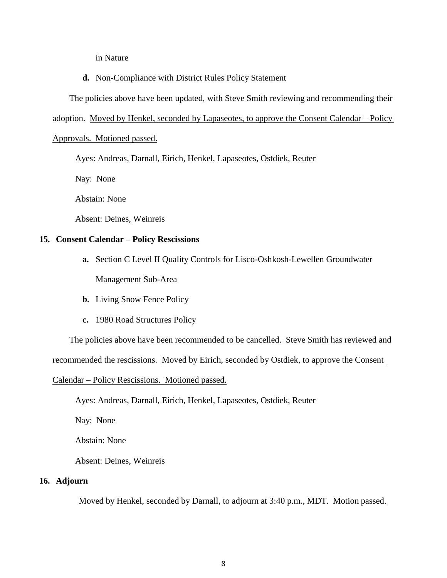in Nature

**d.** Non-Compliance with District Rules Policy Statement

The policies above have been updated, with Steve Smith reviewing and recommending their

adoption. Moved by Henkel, seconded by Lapaseotes, to approve the Consent Calendar – Policy

#### Approvals. Motioned passed.

Ayes: Andreas, Darnall, Eirich, Henkel, Lapaseotes, Ostdiek, Reuter

Nay: None

Abstain: None

Absent: Deines, Weinreis

## **15. Consent Calendar – Policy Rescissions**

- **a.** Section C Level II Quality Controls for Lisco-Oshkosh-Lewellen Groundwater Management Sub-Area
- **b.** Living Snow Fence Policy
- **c.** 1980 Road Structures Policy

The policies above have been recommended to be cancelled. Steve Smith has reviewed and

recommended the rescissions. Moved by Eirich, seconded by Ostdiek, to approve the Consent

Calendar – Policy Rescissions. Motioned passed.

Ayes: Andreas, Darnall, Eirich, Henkel, Lapaseotes, Ostdiek, Reuter

Nay: None

Abstain: None

Absent: Deines, Weinreis

## **16. Adjourn**

Moved by Henkel, seconded by Darnall, to adjourn at 3:40 p.m., MDT. Motion passed.